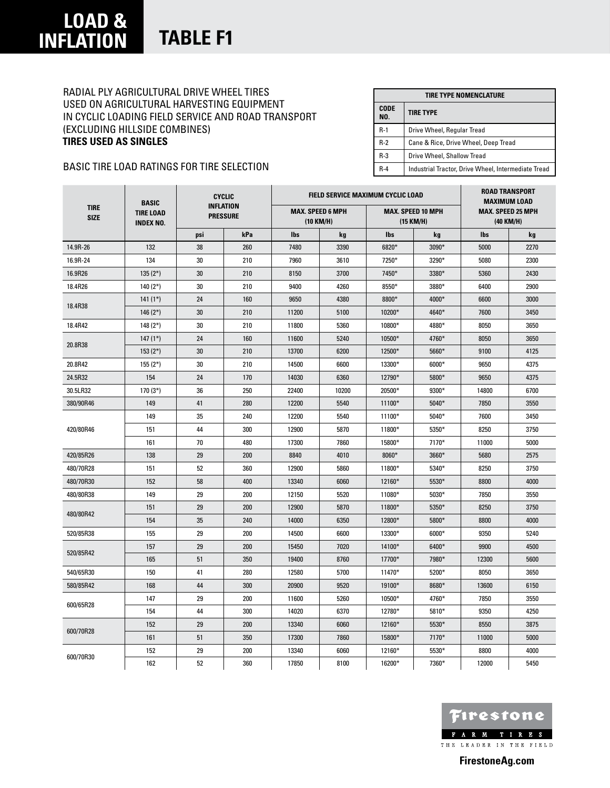## Radial Ply Agricultural Drive Wheel Tires Used on Agricultural Harvesting Equipment in Cyclic Loading Field Service and Road Transport (Excluding Hillside Combines) **Tires Used As Singles**

| TIRE TYPE NOMENCLATURE |                                                     |  |  |  |  |
|------------------------|-----------------------------------------------------|--|--|--|--|
| <b>CODE</b><br>NO.     | <b>TIRE TYPE</b>                                    |  |  |  |  |
| $R-1$                  | Drive Wheel, Regular Tread                          |  |  |  |  |
| $R-2$                  | Cane & Rice, Drive Wheel, Deep Tread                |  |  |  |  |
| $R-3$                  | Drive Wheel, Shallow Tread                          |  |  |  |  |
| $R-4$                  | Industrial Tractor, Drive Wheel, Intermediate Tread |  |  |  |  |

## Basic tire load ratings for tire selection

|                            | <b>BASIC</b><br><b>TIRE LOAD</b><br><b>INDEX NO.</b> | <b>CYCLIC</b><br><b>INFLATION</b><br><b>PRESSURE</b> |     |                                      | FIELD SERVICE MAXIMUM CYCLIC LOAD | <b>ROAD TRANSPORT</b><br><b>MAXIMUM LOAD</b><br><b>MAX. SPEED 25 MPH</b><br>(40 KM/H) |         |                                       |      |
|----------------------------|------------------------------------------------------|------------------------------------------------------|-----|--------------------------------------|-----------------------------------|---------------------------------------------------------------------------------------|---------|---------------------------------------|------|
| <b>TIRE</b><br><b>SIZE</b> |                                                      |                                                      |     | <b>MAX. SPEED 6 MPH</b><br>(10 KM/H) |                                   |                                                                                       |         | <b>MAX. SPEED 10 MPH</b><br>(15 KM/H) |      |
|                            |                                                      | psi                                                  | kPa | <b>lbs</b>                           | kg                                | <b>lbs</b>                                                                            | kg      | <b>lbs</b>                            | kg   |
| 14.9R-26                   | 132                                                  | 38                                                   | 260 | 7480                                 | 3390                              | $6820*$                                                                               | $3090*$ | 5000                                  | 2270 |
| 16.9R-24                   | 134                                                  | 30                                                   | 210 | 7960                                 | 3610                              | 7250*                                                                                 | $3290*$ | 5080                                  | 2300 |
| 16.9R26                    | $135(2*)$                                            | 30                                                   | 210 | 8150                                 | 3700                              | 7450*                                                                                 | 3380*   | 5360                                  | 2430 |
| 18.4R26                    | 140 $(2*)$                                           | 30                                                   | 210 | 9400                                 | 4260                              | 8550*                                                                                 | 3880*   | 6400                                  | 2900 |
|                            | $141(1*)$                                            | 24                                                   | 160 | 9650                                 | 4380                              | 8800*                                                                                 | $4000*$ | 6600                                  | 3000 |
| 18.4R38                    | 146 $(2*)$                                           | 30                                                   | 210 | 11200                                | 5100                              | 10200*                                                                                | 4640*   | 7600                                  | 3450 |
| 18.4R42                    | 148 $(2*)$                                           | 30                                                   | 210 | 11800                                | 5360                              | 10800*                                                                                | 4880*   | 8050                                  | 3650 |
|                            | $147(1*)$                                            | 24                                                   | 160 | 11600                                | 5240                              | 10500*                                                                                | 4760*   | 8050                                  | 3650 |
| 20.8R38                    | $153(2*)$                                            | 30                                                   | 210 | 13700                                | 6200                              | 12500*                                                                                | $5660*$ | 9100                                  | 4125 |
| 20.8R42                    | $155(2*)$                                            | 30                                                   | 210 | 14500                                | 6600                              | 13300*                                                                                | $6000*$ | 9650                                  | 4375 |
| 24.5R32                    | 154                                                  | 24                                                   | 170 | 14030                                | 6360                              | 12790*                                                                                | $5800*$ | 9650                                  | 4375 |
| 30.5LR32                   | $170(3*)$                                            | 36                                                   | 250 | 22400                                | 10200                             | 20500*                                                                                | $9300*$ | 14800                                 | 6700 |
| 380/90R46                  | 149                                                  | 41                                                   | 280 | 12200                                | 5540                              | 11100*                                                                                | $5040*$ | 7850                                  | 3550 |
| 420/80R46                  | 149                                                  | 35                                                   | 240 | 12200                                | 5540                              | 11100*                                                                                | $5040*$ | 7600                                  | 3450 |
|                            | 151                                                  | 44                                                   | 300 | 12900                                | 5870                              | 11800*                                                                                | 5350*   | 8250                                  | 3750 |
|                            | 161                                                  | 70                                                   | 480 | 17300                                | 7860                              | 15800*                                                                                | 7170*   | 11000                                 | 5000 |
| 420/85R26                  | 138                                                  | 29                                                   | 200 | 8840                                 | 4010                              | 8060*                                                                                 | 3660*   | 5680                                  | 2575 |
| 480/70R28                  | 151                                                  | 52                                                   | 360 | 12900                                | 5860                              | 11800*                                                                                | 5340*   | 8250                                  | 3750 |
| 480/70R30                  | 152                                                  | 58                                                   | 400 | 13340                                | 6060                              | 12160*                                                                                | 5530*   | 8800                                  | 4000 |
| 480/80R38                  | 149                                                  | 29                                                   | 200 | 12150                                | 5520                              | 11080*                                                                                | $5030*$ | 7850                                  | 3550 |
|                            | 151                                                  | 29                                                   | 200 | 12900                                | 5870                              | 11800*                                                                                | 5350*   | 8250                                  | 3750 |
| 480/80R42                  | 154                                                  | 35                                                   | 240 | 14000                                | 6350                              | 12800*                                                                                | 5800*   | 8800                                  | 4000 |
| 520/85R38                  | 155                                                  | 29                                                   | 200 | 14500                                | 6600                              | 13300*                                                                                | $6000*$ | 9350                                  | 5240 |
|                            | 157                                                  | 29                                                   | 200 | 15450                                | 7020                              | 14100*                                                                                | $6400*$ | 9900                                  | 4500 |
| 520/85R42                  | 165                                                  | 51                                                   | 350 | 19400                                | 8760                              | 17700*                                                                                | 7980*   | 12300                                 | 5600 |
| 540/65R30                  | 150                                                  | 41                                                   | 280 | 12580                                | 5700                              | 11470*                                                                                | 5200*   | 8050                                  | 3650 |
| 580/85R42                  | 168                                                  | 44                                                   | 300 | 20900                                | 9520                              | 19100*                                                                                | 8680*   | 13600                                 | 6150 |
|                            | 147                                                  | 29                                                   | 200 | 11600                                | 5260                              | 10500*                                                                                | 4760*   | 7850                                  | 3550 |
| 600/65R28                  | 154                                                  | 44                                                   | 300 | 14020                                | 6370                              | 12780*                                                                                | 5810*   | 9350                                  | 4250 |
| 600/70R28                  | 152                                                  | 29                                                   | 200 | 13340                                | 6060                              | 12160*                                                                                | 5530*   | 8550                                  | 3875 |
|                            | 161                                                  | 51                                                   | 350 | 17300                                | 7860                              | 15800*                                                                                | 7170*   | 11000                                 | 5000 |
|                            | 152                                                  | 29                                                   | 200 | 13340                                | 6060                              | 12160*                                                                                | 5530*   | 8800                                  | 4000 |
| 600/70R30                  | 162                                                  | 52                                                   | 360 | 17850                                | 8100                              | 16200*                                                                                | 7360*   | 12000                                 | 5450 |



**FirestoneAg.com**